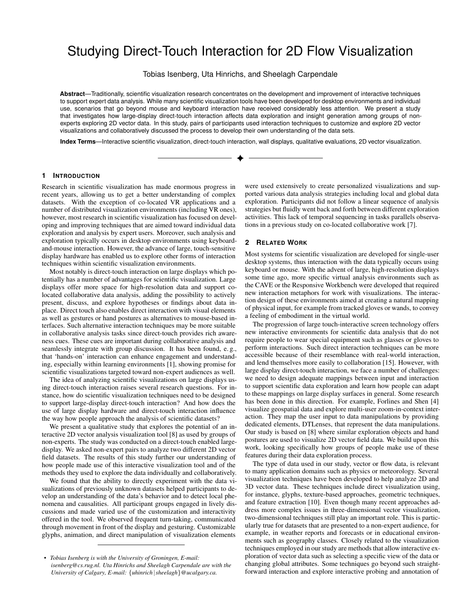# Studying Direct-Touch Interaction for 2D Flow Visualization

[Tobias Isenberg,](http://cs.rug.nl/~isenberg/) [Uta Hinrichs,](http://www.utahinrichs.de/) and [Sheelagh Carpendale](http://cpsc.ucalgary.ca/~sheelagh/)

**Abstract**—Traditionally, scientific visualization research concentrates on the development and improvement of interactive techniques to support expert data analysis. While many scientific visualization tools have been developed for desktop environments and individual use, scenarios that go beyond mouse and keyboard interaction have received considerably less attention. We present a study that investigates how large-display direct-touch interaction affects data exploration and insight generation among groups of nonexperts exploring 2D vector data. In this study, pairs of participants used interaction techniques to customize and explore 2D vector visualizations and collaboratively discussed the process to develop their own understanding of the data sets.

**Index Terms**—Interactive scientific visualization, direct-touch interaction, wall displays, qualitative evaluations, 2D vector visualization.

#### **1 INTRODUCTION**

Research in scientific visualization has made enormous progress in recent years, allowing us to get a better understanding of complex datasets. With the exception of co-located VR applications and a number of distributed visualization environments (including VR ones), however, most research in scientific visualization has focused on developing and improving techniques that are aimed toward individual data exploration and analysis by expert users. Moreover, such analysis and exploration typically occurs in desktop environments using keyboardand-mouse interaction. However, the advance of large, touch-sensitive display hardware has enabled us to explore other forms of interaction techniques within scientific visualization environments.

Most notably is direct-touch interaction on large displays which potentially has a number of advantages for scientific visualization. Large displays offer more space for high-resolution data and support colocated collaborative data analysis, adding the possibility to actively present, discuss, and explore hypotheses or findings about data inplace. Direct touch also enables direct interaction with visual elements as well as gestures or hand postures as alternatives to mouse-based interfaces. Such alternative interaction techniques may be more suitable in collaborative analysis tasks since direct-touch provides rich awareness cues. These cues are important during collaborative analysis and seamlessly integrate with group discussion. It has been found, e. g., that 'hands-on' interaction can enhance engagement and understanding, especially within learning environments [\[1\]](#page-3-0), showing promise for scientific visualizations targeted toward non-expert audiences as well.

The idea of analyzing scientific visualizations on large displays using direct-touch interaction raises several research questions. For instance, how do scientific visualization techniques need to be designed to support large-display direct-touch interaction? And how does the use of large display hardware and direct-touch interaction influence the way how people approach the analysis of scientific datasets?

We present a qualitative study that explores the potential of an interactive 2D vector analysis visualization tool [\[8\]](#page-3-1) as used by groups of non-experts. The study was conducted on a direct-touch enabled largedisplay. We asked non-expert pairs to analyze two different 2D vector field datasets. The results of this study further our understanding of how people made use of this interactive visualization tool and of the methods they used to explore the data individually and collaboratively.

We found that the ability to directly experiment with the data visualizations of previously unknown datasets helped participants to develop an understanding of the data's behavior and to detect local phenomena and causalities. All participant groups engaged in lively discussions and made varied use of the customization and interactivity offered in the tool. We observed frequent turn-taking, communicated through movement in front of the display and gesturing. Customizable glyphs, animation, and direct manipulation of visualization elements

were used extensively to create personalized visualizations and supported various data analysis strategies including local and global data exploration. Participants did not follow a linear sequence of analysis strategies but fluidly went back and forth between different exploration activities. This lack of temporal sequencing in tasks parallels observations in a previous study on co-located collaborative work [\[7\]](#page-3-2).

# **2 RELATED WORK**

Most systems for scientific visualization are developed for single-user desktop systems, thus interaction with the data typically occurs using keyboard or mouse. With the advent of large, high-resolution displays some time ago, more specific virtual analysis environments such as the CAVE or the Responsive Workbench were developed that required new interaction metaphors for work with visualizations. The interaction design of these environments aimed at creating a natural mapping of physical input, for example from tracked gloves or wands, to convey a feeling of embodiment in the virtual world.

The progression of large touch-interactive screen technology offers new interactive environments for scientific data analysis that do not require people to wear special equipment such as glasses or gloves to perform interactions. Such direct interaction techniques can be more accessible because of their resemblance with real-world interaction, and lend themselves more easily to collaboration [\[15\]](#page-3-3). However, with large display direct-touch interaction, we face a number of challenges: we need to design adequate mappings between input and interaction to support scientific data exploration and learn how people can adapt to these mappings on large display surfaces in general. Some research has been done in this direction. For example, Forlines and Shen [\[4\]](#page-3-4) visualize geospatial data and explore multi-user zoom-in-context interaction. They map the user input to data manipulations by providing dedicated elements, DTLenses, that represent the data manipulations. Our study is based on [\[8\]](#page-3-1) where similar exploration objects and hand postures are used to visualize 2D vector field data. We build upon this work, looking specifically how groups of people make use of these features during their data exploration process.

The type of data used in our study, vector or flow data, is relevant to many application domains such as physics or meteorology. Several visualization techniques have been developed to help analyze 2D and 3D vector data. These techniques include direct visualization using, for instance, glyphs, texture-based approaches, geometric techniques, and feature extraction [\[10\]](#page-3-5). Even though many recent approaches address more complex issues in three-dimensional vector visualization, two-dimensional techniques still play an important role. This is particularly true for datasets that are presented to a non-expert audience, for example, in weather reports and forecasts or in educational environments such as geography classes. Closely related to the visualization techniques employed in our study are methods that allow interactive exploration of vector data such as selecting a specific view of the data or changing global attributes. Some techniques go beyond such straightforward interaction and explore interactive probing and annotation of

*<sup>•</sup> [Tobias Isenberg](http://cs.rug.nl/~isenberg/) is with the [University of Groningen,](http://www.rug.nl/) E-mail: [isenberg@cs.rug.nl.](mailto:isenberg@cs.rug.nl) [Uta Hinrichs](http://www.utahinrichs.de/) and [Sheelagh Carpendale](http://cpsc.ucalgary.ca/~sheelagh/) are with the [University of Calgary,](http://www.ucalgary.ca/) E-mail:* {*[uhinrich](mailto:uhinrich@ucalgary.ca)*∣*[sheelagh](mailto:sheelagh@ucalgary.ca)*}*[@ucalgary.ca.](mailto:sheelagh@ucalgary.ca)*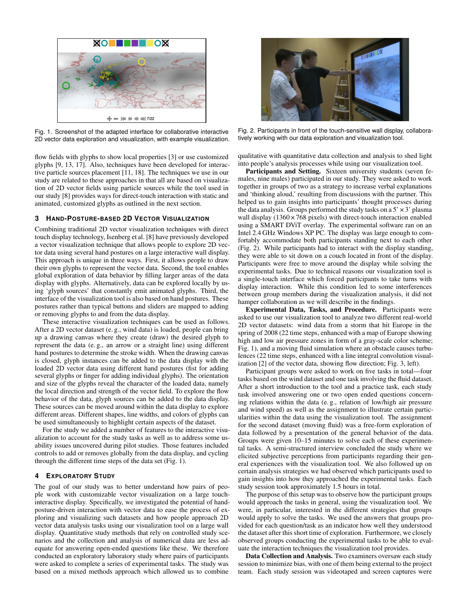

<span id="page-1-0"></span>Fig. 1. Screenshot of the adapted interface for collaborative interactive 2D vector data exploration and visualization, with example visualization.

flow fields with glyphs to show local properties [\[3\]](#page-3-6) or use customized glyphs [\[9,](#page-3-7) [13,](#page-3-8) [17\]](#page-3-9). Also, techniques have been developed for interactive particle sources placement [\[11,](#page-3-10) [18\]](#page-3-11). The techniques we use in our study are related to these approaches in that all are based on visualization of 2D vector fields using particle sources while the tool used in our study [\[8\]](#page-3-1) provides ways for direct-touch interaction with static and animated, customized glyphs as outlined in the next section.

# **3 HAND-POSTURE-BASED 2D VECTOR VISUALIZATION**

Combining traditional 2D vector visualization techniques with direct touch display technology, Isenberg et al. [\[8\]](#page-3-1) have previously developed a vector visualization technique that allows people to explore 2D vector data using several hand postures on a large interactive wall display. This approach is unique in three ways. First, it allows people to draw their own glyphs to represent the vector data. Second, the tool enables global exploration of data behavior by filling larger areas of the data display with glyphs. Alternatively, data can be explored locally by using 'glyph sources' that constantly emit animated glyphs. Third, the interface of the visualization tool is also based on hand postures. These postures rather than typical buttons and sliders are mapped to adding or removing glyphs to and from the data display.

These interactive visualization techniques can be used as follows. After a 2D vector dataset (e. g., wind data) is loaded, people can bring up a drawing canvas where they create (draw) the desired glyph to represent the data (e. g., an arrow or a straight line) using different hand postures to determine the stroke width. When the drawing canvas is closed, glyph instances can be added to the data display with the loaded 2D vector data using different hand postures (fist for adding several glyphs or finger for adding individual glyphs). The orientation and size of the glyphs reveal the character of the loaded data, namely the local direction and strength of the vector field. To explore the flow behavior of the data, glyph sources can be added to the data display. These sources can be moved around within the data display to explore different areas. Different shapes, line widths, and colors of glyphs can be used simultaneously to highlight certain aspects of the dataset.

For the study we added a number of features to the interactive visualization to account for the study tasks as well as to address some usability issues uncovered during pilot studies. Those features included controls to add or removes globally from the data display, and cycling through the different time steps of the data set [\(Fig. 1\)](#page-1-0).

## **4 EXPLORATORY STUDY**

The goal of our study was to better understand how pairs of people work with customizable vector visualization on a large touchinteractive display. Specifically, we investigated the potential of handposture-driven interaction with vector data to ease the process of exploring and visualizing such datasets and how people approach 2D vector data analysis tasks using our visualization tool on a large wall display. Quantitative study methods that rely on controlled study scenarios and the collection and analysis of numerical data are less adequate for answering open-ended questions like these. We therefore conducted an exploratory laboratory study where pairs of participants were asked to complete a series of experimental tasks. The study was based on a mixed methods approach which allowed us to combine



Fig. 2. Participants in front of the touch-sensitive wall display, collaboratively working with our data exploration and visualization tool.

<span id="page-1-1"></span>qualitative with quantitative data collection and analysis to shed light into people's analysis processes while using our visualization tool.

Participants and Setting. Sixteen university students (seven females, nine males) participated in our study. They were asked to work together in groups of two as a strategy to increase verbal explanations and 'thinking aloud,' resulting from discussions with the partner. This helped us to gain insights into participants' thought processes during the data analysis. Groups performed the study tasks on a  $5' \times 3'$  plasma wall display  $(1360 \times 768)$  pixels) with direct-touch interaction enabled using a SMART DViT overlay. The experimental software ran on an Intel 2.4 GHz Windows XP PC. The display was large enough to comfortably accommodate both participants standing next to each other [\(Fig. 2\)](#page-1-1). While participants had to interact with the display standing, they were able to sit down on a couch located in front of the display. Participants were free to move around the display while solving the experimental tasks. Due to technical reasons our visualization tool is a single-touch interface which forced participants to take turns with display interaction. While this condition led to some interferences between group members during the visualization analysis, it did not hamper collaboration as we will describe in the findings.

Experimental Data, Tasks, and Procedure. Participants were asked to use our visualization tool to analyze two different real-world 2D vector datasets: wind data from a storm that hit Europe in the spring of 2008 (22 time steps, enhanced with a map of Europe showing high and low air pressure zones in form of a gray-scale color scheme; [Fig. 1\)](#page-1-0), and a moving fluid simulation where an obstacle causes turbulences (22 time steps, enhanced with a line integral convolution visualization [\[2\]](#page-3-12) of the vector data, showing flow direction; [Fig. 3,](#page-3-13) left).

Participant groups were asked to work on five tasks in total—four tasks based on the wind dataset and one task involving the fluid dataset. After a short introduction to the tool and a practice task, each study task involved answering one or two open ended questions concerning relations within the data (e. g., relation of low/high air pressure and wind speed) as well as the assignment to illustrate certain particularities within the data using the visualization tool. The assignment for the second dataset (moving fluid) was a free-form exploration of data followed by a presentation of the general behavior of the data. Groups were given 10–15 minutes to solve each of these experimental tasks. A semi-structured interview concluded the study where we elicited subjective perceptions from participants regarding their general experiences with the visualization tool. We also followed up on certain analysis strategies we had observed which participants used to gain insights into how they approached the experimental tasks. Each study session took approximately 1.5 hours in total.

The purpose of this setup was to observe how the participant groups would approach the tasks in general, using the visualization tool. We were, in particular, interested in the different strategies that groups would apply to solve the tasks. We used the answers that groups provided for each question/task as an indicator how well they understood the dataset after this short time of exploration. Furthermore, we closely observed groups conducting the experimental tasks to be able to evaluate the interaction techniques the visualization tool provides.

Data Collection and Analysis. Two examiners oversaw each study session to minimize bias, with one of them being external to the project team. Each study session was videotaped and screen captures were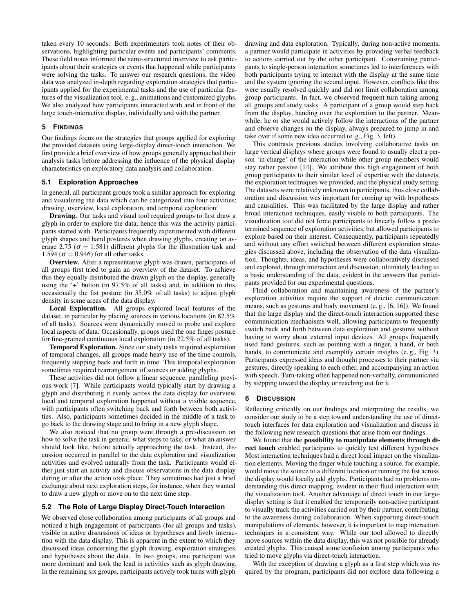taken every 10 seconds. Both experimenters took notes of their observations, highlighting particular events and participants' comments. These field notes informed the semi-structured interview to ask participants about their strategies or events that happened while participants were solving the tasks. To answer our research questions, the video data was analyzed in-depth regarding exploration strategies that participants applied for the experimental tasks and the use of particular features of the visualization tool, e. g., animations and customized glyphs. We also analyzed how participants interacted with and in front of the large touch-interactive display, individually and with the partner.

### **5 FINDINGS**

Our findings focus on the strategies that groups applied for exploring the provided datasets using large-display direct-touch interaction. We first provide a brief overview of how groups generally approached their analysis tasks before addressing the influence of the physical display characteristics on exploratory data analysis and collaboration.

#### **5.1 Exploration Approaches**

In general, all participant groups took a similar approach for exploring and visualizing the data which can be categorized into four activities: drawing, overview, local exploration, and temporal exploration:

Drawing. Our tasks and visual tool required groups to first draw a glyph in order to explore the data, hence this was the activity participants started with. Participants frequently experimented with different glyph shapes and hand postures when drawing glyphs, creating on average 2.75 ( $\sigma = 1.581$ ) different glyphs for the illustration task and 1.594 ( $\sigma$  = 0.946) for all other tasks.

Overview. After a representative glyph was drawn, participants of all groups first tried to gain an overview of the dataset. To achieve this they equally distributed the drawn glyph on the display, generally using the '+' button (in 97.5% of all tasks) and, in addition to this, occasionally the fist posture (in 35.0% of all tasks) to adjust glyph density in some areas of the data display.

Local Exploration. All groups explored local features of the dataset, in particular by placing sources in various locations (in 82.5% of all tasks). Sources were dynamically moved to probe and explore local aspects of data. Occasionally, groups used the one finger posture for fine-grained continuous local exploration (in 22.5% of all tasks).

Temporal Exploration. Since our study tasks required exploration of temporal changes, all groups made heavy use of the time controls, frequently stepping back and forth in time. This temporal exploration sometimes required rearrangement of sources or adding glyphs.

These activities did not follow a linear sequence, paralleling previous work [\[7\]](#page-3-2). While participants would typically start by drawing a glyph and distributing it evenly across the data display for overview, local and temporal exploration happened without a visible sequence, with participants often switching back and forth between both activities. Also, participants sometimes decided in the middle of a task to go back to the drawing stage and to bring in a new glyph shape.

We also noticed that no group went through a pre-discussion on how to solve the task in general, what steps to take, or what an answer should look like, before actually approaching the task. Instead, discussion occurred in parallel to the data exploration and visualization activities and evolved naturally from the task. Participants would either just start an activity and discuss observations in the data display during or after the action took place. They sometimes had just a brief exchange about next exploration steps, for instance, when they wanted to draw a new glyph or move on to the next time step.

#### **5.2 The Role of Large Display Direct-Touch Interaction**

We observed close collaboration among participants of all groups and noticed a high engagement of participants (for all groups and tasks), visible in active discussions of ideas or hypotheses and lively interaction with the data display. This is apparent in the extent to which they discussed ideas concerning the glyph drawing, exploration strategies, and hypotheses about the data. In two groups, one participant was more dominant and took the lead in activities such as glyph drawing. In the remaining six groups, participants actively took turns with glyph

drawing and data exploration. Typically, during non-active moments, a partner would participate in activities by providing verbal feedback to actions carried out by the other participant. Constraining participants to single-person interaction sometimes led to interferences with both participants trying to interact with the display at the same time and the system ignoring the second input. However, conflicts like this were usually resolved quickly and did not limit collaboration among group participants. In fact, we observed frequent turn taking among all groups and study tasks. A participant of a group would step back from the display, handing over the exploration to the partner. Meanwhile, he or she would actively follow the interactions of the partner and observe changes on the display, always prepared to jump in and take over if some new idea occurred (e. g., [Fig. 3,](#page-3-13) left).

This contrasts previous studies involving collaborative tasks on large vertical displays where groups were found to usually elect a person 'in charge' of the interaction while other group members would stay rather passive [\[14\]](#page-3-14). We attribute this high engagement of both group participants to their similar level of expertise with the datasets, the exploration techniques we provided, and the physical study setting. The datasets were relatively unknown to participants, thus close collaboration and discussion was important for coming up with hypotheses and causalities. This was facilitated by the large display and rather broad interaction techniques, easily visible to both participants. The visualization tool did not force participants to linearly follow a predetermined sequence of exploration activities, but allowed participants to explore based on their interest. Consequently, participants repeatedly and without any effort switched between different exploration strategies discussed above, including the observation of the data visualization. Thoughts, ideas, and hypotheses were collaboratively discussed and explored, through interaction and discussion, ultimately leading to a basic understanding of the data, evident in the answers that participants provided for our experimental questions.

Fluid collaboration and maintaining awareness of the partner's exploration activities require the support of deictic communication means, such as gestures and body movement (e. g., [\[6,](#page-3-15) [16\]](#page-3-16)). We found that the large display and the direct-touch interaction supported these communication mechanisms well, allowing participants to frequently switch back and forth between data exploration and gestures without having to worry about external input devices. All groups frequently used hand gestures, such as pointing with a finger, a hand, or both hands, to communicate and exemplify certain insights (e. g., [Fig. 3\)](#page-3-13). Participants expressed ideas and thought processes to their partner via gestures, directly speaking to each other, and accompanying an action with speech. Turn-taking often happened non-verbally, communicated by stepping toward the display or reaching out for it.

#### **6 DISCUSSION**

Reflecting critically on our findings and interpreting the results, we consider our study to be a step toward understanding the use of directtouch interfaces for data exploration and visualization and discuss in the following new research questions that arise from our findings.

We found that the possibility to manipulate elements through direct touch enabled participants to quickly test different hypotheses. Most interaction techniques had a direct local impact on the visualization elements. Moving the finger while touching a source, for example, would move the source to a different location or running the fist across the display would locally add glyphs. Participants had no problems understanding this direct mapping, evident in their fluid interaction with the visualization tool. Another advantage of direct touch in our largedisplay setting is that it enabled the temporarily non-active participant to visually track the activities carried out by their partner, contributing to the awareness during collaboration. When supporting direct-touch manipulations of elements, however, it is important to map interaction techniques in a consistent way. While our tool allowed to directly move sources within the data display, this was not possible for already created glyphs. This caused some confusion among participants who tried to move glyphs via direct-touch interaction.

With the exception of drawing a glyph as a first step which was required by the program, participants did not explore data following a